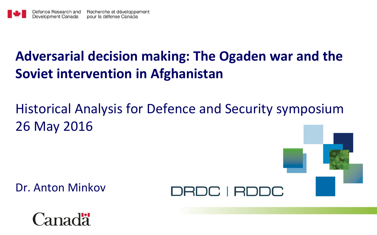

# **Adversarial decision making: The Ogaden war and the Soviet intervention in Afghanistan**

# Historical Analysis for Defence and Security symposium 26 May 2016

Dr. Anton Minkov



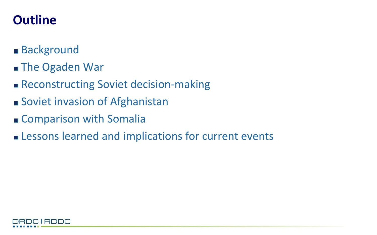### **Outline**

- **Background**
- **The Ogaden War**
- Reconstructing Soviet decision-making
- Soviet invasion of Afghanistan
- **Comparison with Somalia**
- **Exercise 2 ratio Exercise 2 ratio Exercise 2 ratio Exercise 2 ratio Exercise 2 ratio Exercise 2 ratio Exercise**

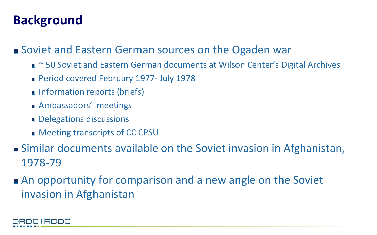#### **Background**

Soviet and Eastern German sources on the Ogaden war

- ~ 50 Soviet and Eastern German documents at Wilson Center's Digital Archives
- Period covered February 1977- July 1978
- Information reports (briefs)
- **Ambassadors' meetings**
- Delegations discussions
- Meeting transcripts of CC CPSU

Similar documents available on the Soviet invasion in Afghanistan, 1978-79

An opportunity for comparison and a new angle on the Soviet invasion in Afghanistan

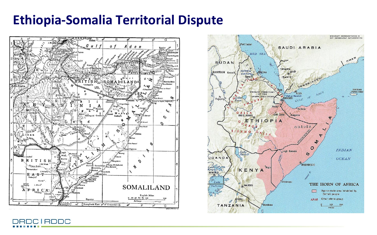#### **Ethiopia-Somalia Territorial Dispute**



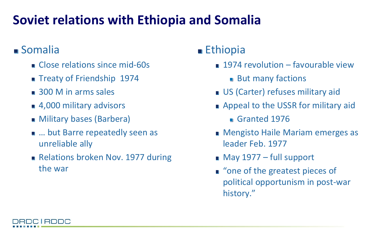# **Soviet relations with Ethiopia and Somalia**

#### Somalia

- Close relations since mid-60s
- Treaty of Friendship 1974
- 300 M in arms sales
- 4,000 military advisors
- **Military bases (Barbera)**
- ... but Barre repeatedly seen as unreliable ally
- Relations broken Nov. 1977 during the war

#### ■ Ethiopia

- $\Box$  1974 revolution favourable view
	- But many factions
- **US (Carter) refuses military aid**
- **Appeal to the USSR for military aid** 
	- Granted 1976
- Mengisto Haile Mariam emerges as leader Feb. 1977
- $\blacksquare$  May 1977 full support
- "one of the greatest pieces of political opportunism in post-war history."

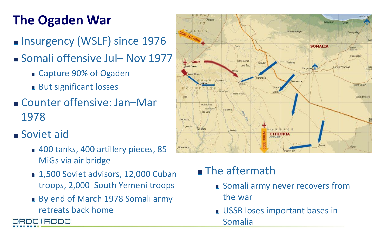# **The Ogaden War**

- **Insurgency (WSLF) since 1976**
- Somali offensive Jul– Nov 1977
	- Capture 90% of Ogaden
	- **But significant losses**
- Counter offensive: Jan–Mar 1978
- Soviet aid

**CIRDDC** 

- 400 tanks, 400 artillery pieces, 85 MiGs via air bridge
- 1,500 Soviet advisors, 12,000 Cuban troops, 2,000 South Yemeni troops
- By end of March 1978 Somali army retreats back home

**The aftermath** 

- Somali army never recovers from the war
- USSR loses important bases in Somalia

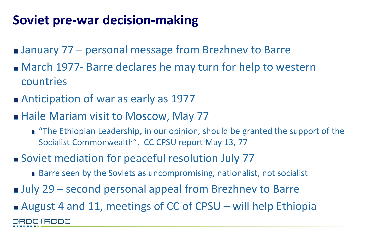# **Soviet pre-war decision-making**

- January 77 personal message from Brezhnev to Barre
- March 1977- Barre declares he may turn for help to western countries
- Anticipation of war as early as 1977
- Haile Mariam visit to Moscow, May 77
	- "The Ethiopian Leadership, in our opinion, should be granted the support of the Socialist Commonwealth". CC CPSU report May 13, 77
- Soviet mediation for peaceful resolution July 77
	- Barre seen by the Soviets as uncompromising, nationalist, not socialist
- UUIV 29 second personal appeal from Brezhnev to Barre
- August 4 and 11, meetings of CC of CPSU will help Ethiopia

#### **DRDCIRDDC**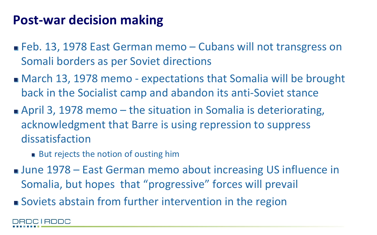#### **Post-war decision making**

- Feb. 13, 1978 East German memo Cubans will not transgress on Somali borders as per Soviet directions
- March 13, 1978 memo expectations that Somalia will be brought back in the Socialist camp and abandon its anti-Soviet stance
- April 3, 1978 memo the situation in Somalia is deteriorating, acknowledgment that Barre is using repression to suppress dissatisfaction
	- But rejects the notion of ousting him
- June 1978 East German memo about increasing US influence in Somalia, but hopes that "progressive" forces will prevail
- Soviets abstain from further intervention in the region

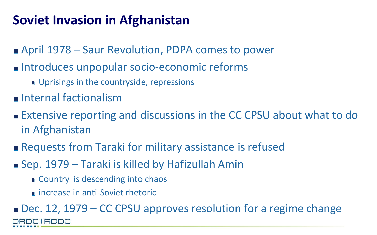# **Soviet Invasion in Afghanistan**

- April 1978 Saur Revolution, PDPA comes to power
- Introduces unpopular socio-economic reforms
	- **Uprisings in the countryside, repressions**
- **Internal factionalism**
- **Extensive reporting and discussions in the CC CPSU about what to do** in Afghanistan
- **Requests from Taraki for military assistance is refused**
- Sep. 1979 Taraki is killed by Hafizullah Amin
	- Country is descending into chaos
	- **n** increase in anti-Soviet rhetoric

■ Dec. 12, 1979 – CC CPSU approves resolution for a regime change DRDCIRDDC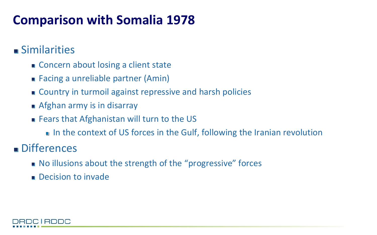### **Comparison with Somalia 1978**

#### **Similarities**

- Concern about losing a client state
- Facing a unreliable partner (Amin)
- Country in turmoil against repressive and harsh policies
- Afghan army is in disarray
- Fears that Afghanistan will turn to the US
	- In the context of US forces in the Gulf, following the Iranian revolution

#### Differences

- No illusions about the strength of the "progressive" forces
- **Decision to invade**

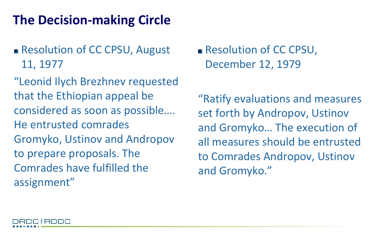# **The Decision-making Circle**

#### Resolution of CC CPSU, August 11, 1977

"Leonid Ilych Brezhnev requested that the Ethiopian appeal be considered as soon as possible…. He entrusted comrades Gromyko, Ustinov and Andropov to prepare proposals. The Comrades have fulfilled the assignment"

Resolution of CC CPSU, December 12, 1979

"Ratify evaluations and measures set forth by Andropov, Ustinov and Gromyko… The execution of all measures should be entrusted to Comrades Andropov, Ustinov and Gromyko."

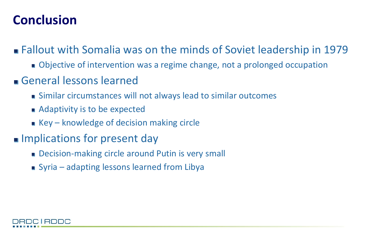## **Conclusion**

Fallout with Somalia was on the minds of Soviet leadership in 1979

Objective of intervention was a regime change, not a prolonged occupation

#### General lessons learned

- Similar circumstances will not always lead to similar outcomes
- Adaptivity is to be expected
- $\blacksquare$  Key knowledge of decision making circle

#### **Implications for present day**

- Decision-making circle around Putin is very small
- Syria adapting lessons learned from Libya